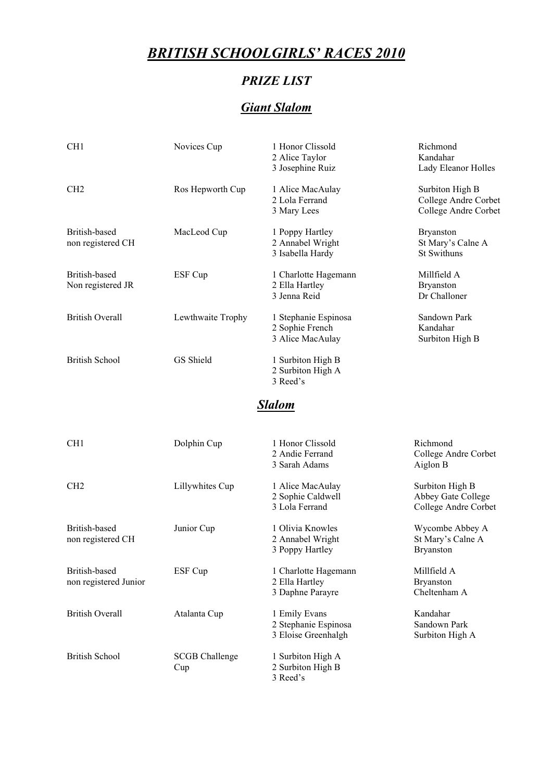# *BRITISH SCHOOLGIRLS' RACES 2010*

#### *PRIZE LIST*

### *Giant Slalom*

| CH <sub>1</sub>                        | Novices Cup                  | 1 Honor Clissold<br>2 Alice Taylor<br>3 Josephine Ruiz       | Richmond<br>Kandahar<br>Lady Eleanor Holles                     |
|----------------------------------------|------------------------------|--------------------------------------------------------------|-----------------------------------------------------------------|
| CH <sub>2</sub>                        | Ros Hepworth Cup             | 1 Alice MacAulay<br>2 Lola Ferrand<br>3 Mary Lees            | Surbiton High B<br>College Andre Corbet<br>College Andre Corbet |
| British-based<br>non registered CH     | MacLeod Cup                  | 1 Poppy Hartley<br>2 Annabel Wright<br>3 Isabella Hardy      | <b>Bryanston</b><br>St Mary's Calne A<br>St Swithuns            |
| British-based<br>Non registered JR     | ESF Cup                      | 1 Charlotte Hagemann<br>2 Ella Hartley<br>3 Jenna Reid       | Millfield A<br><b>Bryanston</b><br>Dr Challoner                 |
| <b>British Overall</b>                 | Lewthwaite Trophy            | 1 Stephanie Espinosa<br>2 Sophie French<br>3 Alice MacAulay  | Sandown Park<br>Kandahar<br>Surbiton High B                     |
| <b>British School</b>                  | GS Shield                    | 1 Surbiton High B<br>2 Surbiton High A<br>3 Reed's           |                                                                 |
|                                        |                              | Slalom                                                       |                                                                 |
| CH <sub>1</sub>                        | Dolphin Cup                  | 1 Honor Clissold<br>2 Andie Ferrand<br>3 Sarah Adams         | Richmond<br>College Andre Corbet<br>Aiglon B                    |
| CH <sub>2</sub>                        | Lillywhites Cup              | 1 Alice MacAulay<br>2 Sophie Caldwell<br>3 Lola Ferrand      | Surbiton High B<br>Abbey Gate College<br>College Andre Corbet   |
| British-based<br>non registered CH     | Junior Cup                   | 1 Olivia Knowles<br>2 Annabel Wright<br>3 Poppy Hartley      | Wycombe Abbey A<br>St Mary's Calne A<br><b>Bryanston</b>        |
| British-based<br>non registered Junior | ESF Cup                      | 1 Charlotte Hagemann<br>2 Ella Hartley<br>3 Daphne Parayre   | Millfield A<br><b>Bryanston</b><br>Cheltenham A                 |
| <b>British Overall</b>                 | Atalanta Cup                 | 1 Emily Evans<br>2 Stephanie Espinosa<br>3 Eloise Greenhalgh | Kandahar<br>Sandown Park<br>Surbiton High A                     |
| <b>British School</b>                  | <b>SCGB</b> Challenge<br>Cup | 1 Surbiton High A<br>2 Surbiton High B<br>3 Reed's           |                                                                 |